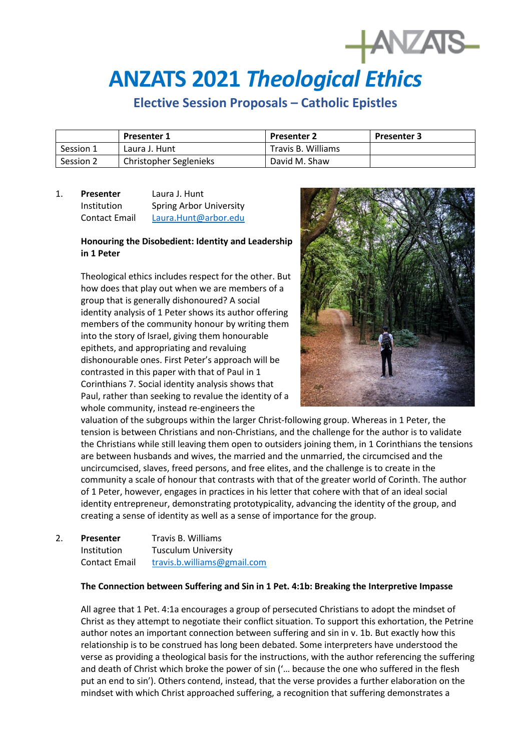# **ANZATS 2021** *Theological Ethics*

# **Elective Session Proposals – Catholic Epistles**

|           | <b>Presenter 1</b>     | <b>Presenter 2</b> | <b>Presenter 3</b> |
|-----------|------------------------|--------------------|--------------------|
| Session 1 | Laura J. Hunt          | Travis B. Williams |                    |
| Session 2 | Christopher Seglenieks | David M. Shaw      |                    |

## 1. **Presenter** Laura J. Hunt Institution Spring Arbor University Contact Email [Laura.Hunt@arbor.edu](mailto:Laura.Hunt@arbor.edu)

### **Honouring the Disobedient: Identity and Leadership in 1 Peter**

Theological ethics includes respect for the other. But how does that play out when we are members of a group that is generally dishonoured? A social identity analysis of 1 Peter shows its author offering members of the community honour by writing them into the story of Israel, giving them honourable epithets, and appropriating and revaluing dishonourable ones. First Peter's approach will be contrasted in this paper with that of Paul in 1 Corinthians 7. Social identity analysis shows that Paul, rather than seeking to revalue the identity of a whole community, instead re-engineers the



**HANZAIS** 

valuation of the subgroups within the larger Christ-following group. Whereas in 1 Peter, the tension is between Christians and non-Christians, and the challenge for the author is to validate the Christians while still leaving them open to outsiders joining them, in 1 Corinthians the tensions are between husbands and wives, the married and the unmarried, the circumcised and the uncircumcised, slaves, freed persons, and free elites, and the challenge is to create in the community a scale of honour that contrasts with that of the greater world of Corinth. The author of 1 Peter, however, engages in practices in his letter that cohere with that of an ideal social identity entrepreneur, demonstrating prototypicality, advancing the identity of the group, and creating a sense of identity as well as a sense of importance for the group.

| 2. | <b>Presenter</b>     | Travis B. Williams          |
|----|----------------------|-----------------------------|
|    | <b>Institution</b>   | <b>Tusculum University</b>  |
|    | <b>Contact Email</b> | travis.b.williams@gmail.com |

#### **The Connection between Suffering and Sin in 1 Pet. 4:1b: Breaking the Interpretive Impasse**

All agree that 1 Pet. 4:1a encourages a group of persecuted Christians to adopt the mindset of Christ as they attempt to negotiate their conflict situation. To support this exhortation, the Petrine author notes an important connection between suffering and sin in v. 1b. But exactly how this relationship is to be construed has long been debated. Some interpreters have understood the verse as providing a theological basis for the instructions, with the author referencing the suffering and death of Christ which broke the power of sin ('… because the one who suffered in the flesh put an end to sin'). Others contend, instead, that the verse provides a further elaboration on the mindset with which Christ approached suffering, a recognition that suffering demonstrates a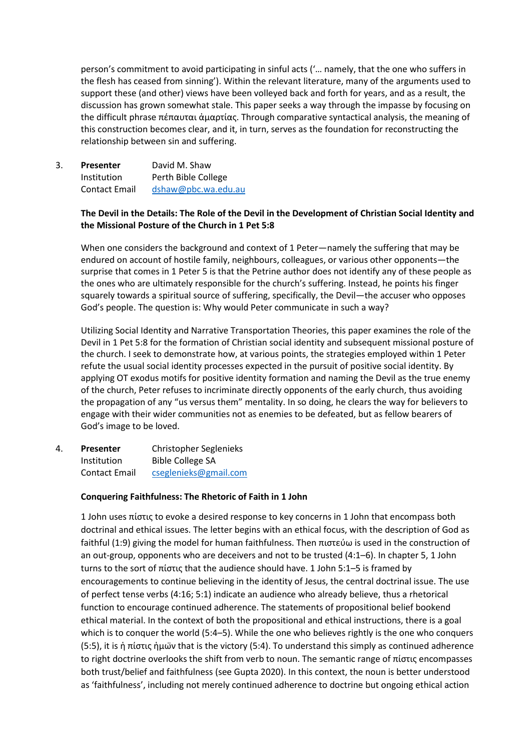person's commitment to avoid participating in sinful acts ('… namely, that the one who suffers in the flesh has ceased from sinning'). Within the relevant literature, many of the arguments used to support these (and other) views have been volleyed back and forth for years, and as a result, the discussion has grown somewhat stale. This paper seeks a way through the impasse by focusing on the difficult phrase πέπαυται ἁμαρτίας. Through comparative syntactical analysis, the meaning of this construction becomes clear, and it, in turn, serves as the foundation for reconstructing the relationship between sin and suffering.

3. **Presenter** David M. Shaw Institution Perth Bible College Contact Email [dshaw@pbc.wa.edu.au](mailto:dshaw@pbc.wa.edu.au)

#### **The Devil in the Details: The Role of the Devil in the Development of Christian Social Identity and the Missional Posture of the Church in 1 Pet 5:8**

When one considers the background and context of 1 Peter—namely the suffering that may be endured on account of hostile family, neighbours, colleagues, or various other opponents—the surprise that comes in 1 Peter 5 is that the Petrine author does not identify any of these people as the ones who are ultimately responsible for the church's suffering. Instead, he points his finger squarely towards a spiritual source of suffering, specifically, the Devil—the accuser who opposes God's people. The question is: Why would Peter communicate in such a way?

Utilizing Social Identity and Narrative Transportation Theories, this paper examines the role of the Devil in 1 Pet 5:8 for the formation of Christian social identity and subsequent missional posture of the church. I seek to demonstrate how, at various points, the strategies employed within 1 Peter refute the usual social identity processes expected in the pursuit of positive social identity. By applying OT exodus motifs for positive identity formation and naming the Devil as the true enemy of the church, Peter refuses to incriminate directly opponents of the early church, thus avoiding the propagation of any "us versus them" mentality. In so doing, he clears the way for believers to engage with their wider communities not as enemies to be defeated, but as fellow bearers of God's image to be loved.

4. **Presenter** Christopher Seglenieks Institution Bible College SA Contact Email [cseglenieks@gmail.com](mailto:cseglenieks@gmail.com)

#### **Conquering Faithfulness: The Rhetoric of Faith in 1 John**

1 John uses πίστις to evoke a desired response to key concerns in 1 John that encompass both doctrinal and ethical issues. The letter begins with an ethical focus, with the description of God as faithful (1:9) giving the model for human faithfulness. Then πιστεύω is used in the construction of an out-group, opponents who are deceivers and not to be trusted (4:1–6). In chapter 5, 1 John turns to the sort of πίστις that the audience should have. 1 John 5:1–5 is framed by encouragements to continue believing in the identity of Jesus, the central doctrinal issue. The use of perfect tense verbs (4:16; 5:1) indicate an audience who already believe, thus a rhetorical function to encourage continued adherence. The statements of propositional belief bookend ethical material. In the context of both the propositional and ethical instructions, there is a goal which is to conquer the world (5:4–5). While the one who believes rightly is the one who conquers (5:5), it is ἡ πίστις ἡμω̈ν that is the victory (5:4). To understand this simply as continued adherence to right doctrine overlooks the shift from verb to noun. The semantic range of πίστις encompasses both trust/belief and faithfulness (see Gupta 2020). In this context, the noun is better understood as 'faithfulness', including not merely continued adherence to doctrine but ongoing ethical action